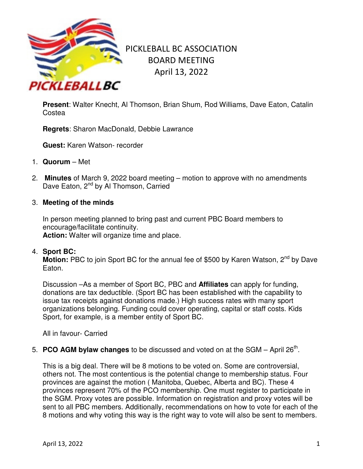

# PICKLEBALL BC ASSOCIATION BOARD MEETING April 13, 2022

**Present**: Walter Knecht, Al Thomson, Brian Shum, Rod Williams, Dave Eaton, Catalin **Costea** 

**Regrets**: Sharon MacDonald, Debbie Lawrance

**Guest:** Karen Watson- recorder

- 1. **Quorum** Met
- 2. **Minutes** of March 9, 2022 board meeting motion to approve with no amendments Dave Eaton, 2<sup>nd</sup> by Al Thomson, Carried
- 3. **Meeting of the minds**

In person meeting planned to bring past and current PBC Board members to encourage/facilitate continuity. **Action:** Walter will organize time and place.

4. **Sport BC:**

**Motion:** PBC to join Sport BC for the annual fee of \$500 by Karen Watson, 2<sup>nd</sup> by Dave Eaton.

Discussion –As a member of Sport BC, PBC and **Affiliates** can apply for funding, donations are tax deductible. (Sport BC has been established with the capability to issue tax receipts against donations made.) High success rates with many sport organizations belonging. Funding could cover operating, capital or staff costs. Kids Sport, for example, is a member entity of Sport BC.

All in favour- Carried

5. **PCO AGM bylaw changes** to be discussed and voted on at the SGM  $-$  April 26<sup>th</sup>.

This is a big deal. There will be 8 motions to be voted on. Some are controversial, others not. The most contentious is the potential change to membership status. Four provinces are against the motion ( Manitoba, Quebec, Alberta and BC). These 4 provinces represent 70% of the PCO membership. One must register to participate in the SGM. Proxy votes are possible. Information on registration and proxy votes will be sent to all PBC members. Additionally, recommendations on how to vote for each of the 8 motions and why voting this way is the right way to vote will also be sent to members.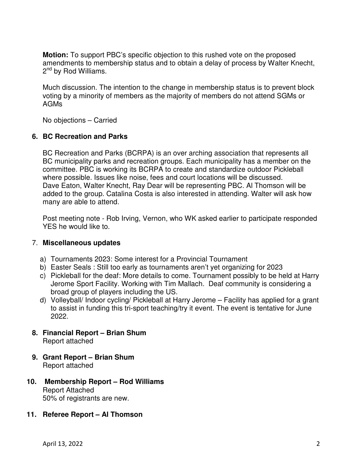**Motion:** To support PBC's specific objection to this rushed vote on the proposed amendments to membership status and to obtain a delay of process by Walter Knecht, 2<sup>nd</sup> by Rod Williams.

Much discussion. The intention to the change in membership status is to prevent block voting by a minority of members as the majority of members do not attend SGMs or AGMs

No objections – Carried

### **6. BC Recreation and Parks**

BC Recreation and Parks (BCRPA) is an over arching association that represents all BC municipality parks and recreation groups. Each municipality has a member on the committee. PBC is working its BCRPA to create and standardize outdoor Pickleball where possible. Issues like noise, fees and court locations will be discussed. Dave Eaton, Walter Knecht, Ray Dear will be representing PBC. Al Thomson will be added to the group. Catalina Costa is also interested in attending. Walter will ask how many are able to attend.

Post meeting note - Rob Irving, Vernon, who WK asked earlier to participate responded YES he would like to.

### 7. **Miscellaneous updates**

- a) Tournaments 2023: Some interest for a Provincial Tournament
- b) Easter Seals : Still too early as tournaments aren't yet organizing for 2023
- c) Pickleball for the deaf: More details to come. Tournament possibly to be held at Harry Jerome Sport Facility. Working with Tim Mallach. Deaf community is considering a broad group of players including the US.
- d) Volleyball/ Indoor cycling/ Pickleball at Harry Jerome Facility has applied for a grant to assist in funding this tri-sport teaching/try it event. The event is tentative for June 2022.
- **8. Financial Report Brian Shum**  Report attached
- **9. Grant Report Brian Shum**  Report attached
- **10. Membership Report Rod Williams**  Report Attached 50% of registrants are new.
- **11. Referee Report Al Thomson**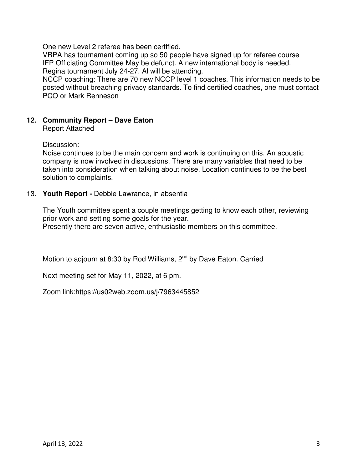One new Level 2 referee has been certified.

VRPA has tournament coming up so 50 people have signed up for referee course IFP Officiating Committee May be defunct. A new international body is needed. Regina tournament July 24-27. Al will be attending.

NCCP coaching: There are 70 new NCCP level 1 coaches. This information needs to be posted without breaching privacy standards. To find certified coaches, one must contact PCO or Mark Renneson

## **12. Community Report – Dave Eaton**

Report Attached

Discussion:

Noise continues to be the main concern and work is continuing on this. An acoustic company is now involved in discussions. There are many variables that need to be taken into consideration when talking about noise. Location continues to be the best solution to complaints.

#### 13. **Youth Report -** Debbie Lawrance, in absentia

The Youth committee spent a couple meetings getting to know each other, reviewing prior work and setting some goals for the year.

Presently there are seven active, enthusiastic members on this committee.

Motion to adjourn at 8:30 by Rod Williams, 2<sup>nd</sup> by Dave Eaton. Carried

Next meeting set for May 11, 2022, at 6 pm.

Zoom link:https://us02web.zoom.us/j/7963445852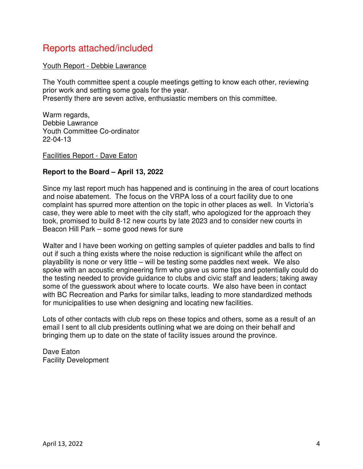# Reports attached/included

### Youth Report - Debbie Lawrance

The Youth committee spent a couple meetings getting to know each other, reviewing prior work and setting some goals for the year. Presently there are seven active, enthusiastic members on this committee.

Warm regards. Debbie Lawrance Youth Committee Co-ordinator 22-04-13

Facilities Report - Dave Eaton

# **Report to the Board – April 13, 2022**

Since my last report much has happened and is continuing in the area of court locations and noise abatement. The focus on the VRPA loss of a court facility due to one complaint has spurred more attention on the topic in other places as well. In Victoria's case, they were able to meet with the city staff, who apologized for the approach they took, promised to build 8-12 new courts by late 2023 and to consider new courts in Beacon Hill Park – some good news for sure

Walter and I have been working on getting samples of quieter paddles and balls to find out if such a thing exists where the noise reduction is significant while the affect on playability is none or very little – will be testing some paddles next week. We also spoke with an acoustic engineering firm who gave us some tips and potentially could do the testing needed to provide guidance to clubs and civic staff and leaders; taking away some of the guesswork about where to locate courts. We also have been in contact with BC Recreation and Parks for similar talks, leading to more standardized methods for municipalities to use when designing and locating new facilities.

Lots of other contacts with club reps on these topics and others, some as a result of an email I sent to all club presidents outlining what we are doing on their behalf and bringing them up to date on the state of facility issues around the province.

Dave Eaton Facility Development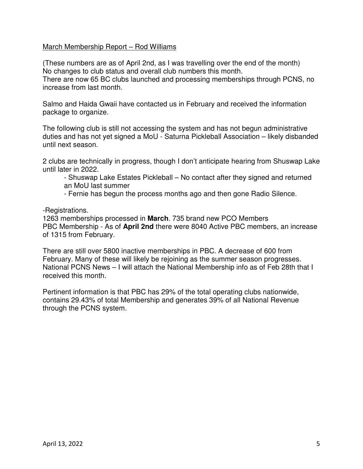### March Membership Report – Rod Williams

(These numbers are as of April 2nd, as I was travelling over the end of the month) No changes to club status and overall club numbers this month. There are now 65 BC clubs launched and processing memberships through PCNS, no increase from last month.

Salmo and Haida Gwaii have contacted us in February and received the information package to organize.

The following club is still not accessing the system and has not begun administrative duties and has not yet signed a MoU - Saturna Pickleball Association – likely disbanded until next season.

2 clubs are technically in progress, though I don't anticipate hearing from Shuswap Lake until later in 2022.

- Shuswap Lake Estates Pickleball – No contact after they signed and returned an MoU last summer

- Fernie has begun the process months ago and then gone Radio Silence.

-Registrations.

1263 memberships processed in **March**. 735 brand new PCO Members PBC Membership - As of **April 2nd** there were 8040 Active PBC members, an increase of 1315 from February.

There are still over 5800 inactive memberships in PBC. A decrease of 600 from February. Many of these will likely be rejoining as the summer season progresses. National PCNS News – I will attach the National Membership info as of Feb 28th that I received this month.

Pertinent information is that PBC has 29% of the total operating clubs nationwide, contains 29.43% of total Membership and generates 39% of all National Revenue through the PCNS system.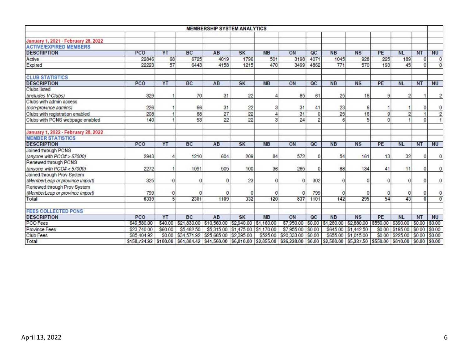|                                                                 |             |                |                                           | <b>MEMBERSHIP SYSTEM ANALYTICS</b> |                       |           |                                                                                                                                              |                 |           |                                |          |                        |           |                |
|-----------------------------------------------------------------|-------------|----------------|-------------------------------------------|------------------------------------|-----------------------|-----------|----------------------------------------------------------------------------------------------------------------------------------------------|-----------------|-----------|--------------------------------|----------|------------------------|-----------|----------------|
|                                                                 |             |                |                                           |                                    |                       |           |                                                                                                                                              |                 |           |                                |          |                        |           |                |
| January 1, 2021 - February 28, 2022                             |             |                |                                           |                                    |                       |           |                                                                                                                                              |                 |           |                                |          |                        |           |                |
| <b>ACTIVE/EXPIRED MEMBERS</b>                                   |             |                |                                           |                                    |                       |           |                                                                                                                                              |                 |           |                                |          |                        |           |                |
| <b>DESCRIPTION</b>                                              | PCO         | YT             | <b>BC</b>                                 | AB                                 | SK                    | <b>MB</b> | ON                                                                                                                                           | $\overline{OC}$ | <b>NB</b> | NS                             | PE       | <b>NL</b>              | <b>NT</b> | <b>NU</b>      |
| Active                                                          | 22846       | 68             | 6725                                      | 4019                               | 1796                  | 501       | 3198                                                                                                                                         | 4071            | 1045      | 928                            | 225      | 189                    | $\Omega$  | $\overline{0}$ |
| Expired                                                         | 22223       | 57             | 6443                                      | 4158                               | 1215                  | 470       | 3499                                                                                                                                         | 4862            | 771       | 570                            | 193      | 45                     | $\Omega$  | $\overline{0}$ |
| <b>CLUB STATISTICS</b>                                          |             |                |                                           |                                    |                       |           |                                                                                                                                              |                 |           |                                |          |                        |           |                |
| <b>DESCRIPTION</b>                                              | PCO         | YT             | <b>BC</b>                                 | AB                                 | SK                    | <b>MB</b> | ON                                                                                                                                           | $_{\rm QC}$     | <b>NB</b> | <b>NS</b>                      | PE       | <b>NL</b>              | <b>NT</b> | <b>NU</b>      |
| Clubs listed                                                    |             |                |                                           |                                    |                       |           |                                                                                                                                              |                 |           |                                |          |                        |           |                |
| (includes V-Clubs)                                              | 329         |                | 70                                        | 31                                 | 22                    |           | 85                                                                                                                                           | 61              | 25        | 16                             |          | 2                      |           | 2              |
| Clubs with admin access                                         |             |                |                                           |                                    |                       |           |                                                                                                                                              |                 |           |                                |          |                        |           |                |
| (non-province admins)                                           | 226         |                | 66                                        | 31                                 | 22                    |           | 31                                                                                                                                           | 41              | 23        | 6                              |          |                        | $\Omega$  | 0              |
| Clubs with registration enabled                                 | 208         | 1              | 68                                        | 27                                 | $\overline{22}$       |           | 31                                                                                                                                           | $\overline{0}$  | 25        | 16                             | 9        | $\overline{2}$         |           | $\overline{c}$ |
| Clubs with PCNS webpage enabled                                 | 140         | 1              | 53                                        | 22                                 | 22                    | з         | 24                                                                                                                                           | $\overline{a}$  |           | 5                              |          |                        | $\Omega$  |                |
| January 1, 2022 - February 28, 2022<br><b>MEMBER STATISTICS</b> |             |                |                                           |                                    |                       |           |                                                                                                                                              |                 |           |                                |          |                        |           |                |
| <b>DESCRIPTION</b>                                              | PCO         | YT             | <b>BC</b>                                 | AB                                 | SK                    | <b>MB</b> | ON                                                                                                                                           | $_{\alpha}$     | <b>NB</b> | <b>NS</b>                      | PE       | <b>NL</b>              | <b>NT</b> | <b>NU</b>      |
| Joined through PCNS                                             |             |                |                                           |                                    |                       |           |                                                                                                                                              |                 |           |                                |          |                        |           |                |
| (anyone with $PCO# > 57000$ )                                   | 2943        | 4              | 1210                                      | 604                                | 209                   | 84        | 572                                                                                                                                          | 0               | 54        | 161                            | 13       | 32                     | $\Omega$  | $\Omega$       |
| Renewed through PCNS                                            |             |                |                                           |                                    |                       |           |                                                                                                                                              |                 |           |                                |          |                        |           |                |
| (anyone with $PCO# < 57000$ )                                   | 2272        |                | 1091                                      | 505                                | 100                   | 36        | 265                                                                                                                                          | 0               | 88        | 134                            | 41       | 11                     | 0         | 0              |
| Joined through Prov System                                      |             |                |                                           |                                    |                       |           |                                                                                                                                              |                 |           |                                |          |                        |           |                |
| (MemberLeap or province import)                                 | 325         | 0              |                                           | $\Omega$                           | 23                    |           | 0                                                                                                                                            | 302             |           | $\Omega$                       |          | 0                      | n         | $\Omega$       |
| Renewed through Prov System                                     |             |                |                                           |                                    |                       |           |                                                                                                                                              |                 |           |                                |          |                        |           |                |
| (MemberLeap or province import)                                 | 799         | 0              |                                           |                                    |                       |           | $\Omega$                                                                                                                                     | 799             |           | 0                              |          | 0                      | 0         | 0              |
| Total                                                           | 6339        | $\overline{5}$ | 2301                                      | 1109                               | 332                   | 120       | 837                                                                                                                                          | 1101            | 142       | 295                            | 54       | 43                     | $\Omega$  | $\overline{0}$ |
| <b>FEES COLLECTED PCNS</b>                                      |             |                |                                           |                                    |                       |           |                                                                                                                                              |                 |           |                                |          |                        |           |                |
| <b>DESCRIPTION</b>                                              | PCO         | YT             | <b>BC</b>                                 | AB                                 | <b>SK</b>             | <b>MB</b> | ON                                                                                                                                           | $_{\alpha}$     | <b>NB</b> | <b>NS</b>                      | PE       | <b>NL</b>              | <b>NT</b> | <b>NU</b>      |
| PCO Fees                                                        | \$49,580.00 |                | \$40.00 \$21,830.00                       | \$10,560.00 \$2,940.00 \$1,160.00  |                       |           | \$7,950.00                                                                                                                                   |                 |           | $$0.00$ $$1,280.00$ \$2,880.00 | \$550.00 | \$390.00               | \$0.00    | \$0.00         |
| Province Fees                                                   | \$23,740.00 | \$60.00        | \$5,482.50                                | \$5,315.00                         | \$1,475.00 \$1,170.00 |           | \$7,955.00                                                                                                                                   | \$0.00          |           | \$645.00 \$1,442.50            | \$0.00   | \$195.00               | \$0.00    | \$0.00         |
| Club Fees                                                       | \$85,404.92 |                | \$0.00 \$34,571.92 \$25,685.00 \$2,395.00 |                                    |                       | \$525.00  | \$20,333.00                                                                                                                                  | \$0.00          |           | \$655.00 \$1,015.00            |          | \$0.00 \$225.00 \$0.00 |           | \$0.00         |
| Total                                                           |             |                |                                           |                                    |                       |           | \$158,724.92 \$100.00 \$61,884.42 \$41,560.00 \$6,810.00 \$2,855.00 \$36,238.00 \$0.00 \$2,580.00 \$5,337.50 \$550.00 \$810.00 \$0.00 \$0.00 |                 |           |                                |          |                        |           |                |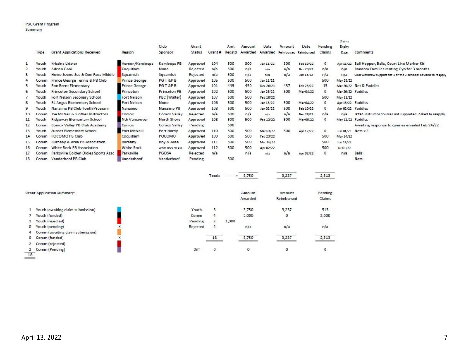|     |            |                                      |                      |                     |          |        |        |         |           |        |                       |              | Claims             |                                                                  |
|-----|------------|--------------------------------------|----------------------|---------------------|----------|--------|--------|---------|-----------|--------|-----------------------|--------------|--------------------|------------------------------------------------------------------|
|     |            |                                      |                      | Club                | Grant    |        | Amt    | Amount  | Date      | Amount | Date                  | Pending      | Expiry             |                                                                  |
|     | Type       | <b>Grant Applications Received</b>   | Region               | Sponsor             | Status   | Grant# | Reastd | Awarded | Awarded   |        | Reimbursed Reimbursed | Claims       | Date               | Comments                                                         |
|     | Youth      | Kristina Lidster                     | Vernon/Kamloops      | Kamloops PB         | Approved | 104    | 500    | 300     | Jan 11/22 | 300    | Feb 10/22             | $\circ$      | Apr 11/22          | Ball Hopper, Balls, Court Line Marker Kit                        |
| 2   | Youth      | <b>Adrian Gooi</b>                   | Coquitlam            | None                | Rejected | n/a    | 500    | n/a     | n/a       | n/a    | Dec 23/21             | n/a          | n/a                | Random Families renting Gyn for 3 months                         |
|     | routh      | Howe Sound Sec & Don Ross Middle     | Squamish             | Squamish            | Rejected | n/a    | 500    | n/a     | n/a       | n/a    | Jan 13/22             | n/a          | n/a                | Club withdrew support for 1 of the 2 schools; advised to reapply |
|     | Comm       | Prince George Tennis & PB Club       | <b>Prince George</b> | PGT&PB              | Approved | 105    | 500    | 500     | Jan 11/22 |        |                       | 500          | May 28/22          |                                                                  |
| 5   | r٥         | <b>Ron Brent Elementary</b>          | <b>Prince George</b> | PG T &P B           | Approved | 101    | 449    | 450     | Dec 26/21 | 437    | Feb 23/22             | 13           |                    | Mar 26/22 Net & Paddles                                          |
| 6   | Youth      | Princeton Secondary School           | Princeton            | <b>Princeton PB</b> | Approved | 102    | 500    | 500     | Jan 25/22 | 500    | Mar 04/22             | $\mathbf{0}$ | Mar 26/22 Paddles  |                                                                  |
|     | Youth      | Fort Nelson Seconary School          | Fort Nelson          | PBC (Walter)        | Approved | 107    | 500    | 500     | Feb 10/22 |        |                       | 500          | May 11/22          |                                                                  |
| 8   | Youth      | <b>RL Angus Elementary School</b>    | Fort Nelson          | None                | Approved | 106    | 500    | 500     | Jan 13/22 | 500    | Mar 04/22             | $^{\circ}$   | Apr 13/22 Paddles  |                                                                  |
| 9   | Youth      | Nanaimo PB Club Youth Program        | Nanaimo              | Nanaimo PB          | Approved | 103    | 500    | 500     | Jan 02/22 | 500    | Feb 10/22             | $^{\circ}$   | Apr 02/22 Paddles  |                                                                  |
| 10  |            | Joe McNeil & 2 other Instructors     | Comox                | Comox Valley        | Rejected | n/a    | 500    | n/a     | n/a       | n/a    | Dec 28/21             | n/a          | n/a                | IPTPA instructor courses not supported. Asked to reapply         |
| 11  | routh      | <b>Ridgeway Elementary School</b>    | <b>Nth Vancouver</b> | North Shore         | Approved | 108    | 500    | 500     | Feb 12/22 | 500    | Mar 05/22             | $\circ$      | May 12/22 Paddles  |                                                                  |
| 12  |            | Comox Valley PB Club Academy         | Comox                | Comox Valley        | Pending  |        | 500    |         |           |        |                       |              |                    | Awaiting response to queries emailed Feb 24/22                   |
| 13  | routh      | <b>Sunset Elementary School</b>      | <b>Port McNeill</b>  | Port Hardy          | Approved | 110    | 500    | 500     | Mar 03/22 | 500    | Apr 12/22             | $\circ$      | Jun 01/22 Nets x 2 |                                                                  |
| 14  | <b>Com</b> | POCOMO PB Club                       | Coquitlam            | POCOMO              | Approved | 109    | 500    | 500     | Feb 23/22 |        |                       | 500          | May 24/22          |                                                                  |
| 15. |            | Burnaby & Area PB Association        | Burnaby              | Bby & Area          | Approved | 111    | 500    | 500     | Mar 16/22 |        |                       | 500          | Jun 14/22          |                                                                  |
| 16  | Comr       | <b>White Rock PB Association</b>     | <b>White Rock</b>    | White Rock PB Ass   | Approved | 112    | 500    | 500     | Apr 02/22 |        |                       | 500          | Jul 01/22          |                                                                  |
| 17  | Comm       | Parksville Golden Oldies Sports Assc | Parksville           | PGOSA               | Rejected | n/a    |        | n/a     | n/a       | n/a    | Apr 02/22             | $\circ$      | n/a                | <b>Balls</b>                                                     |
| 18  | Comm       | Vanderhoof PB Club                   | Vanderhoof           | Vanderhoof          | Pending  |        | 500    |         |           |        |                       |              |                    | <b>Nets</b>                                                      |

|    |                                   |          | Totals         | $-$ ---------> | 5,750             | 3,237                | 2,513             |
|----|-----------------------------------|----------|----------------|----------------|-------------------|----------------------|-------------------|
|    | <b>Grant Application Summary:</b> |          |                |                | Amount<br>Awarded | Amount<br>Reimbursed | Pending<br>Claims |
|    | Youth (awaiting claim submission) | Youth    | 8              |                | 3,750             | 3,237                | 513               |
|    | Youth (funded)                    | Comm     | 4              |                | 2,000             | 0                    | 2,000             |
|    | Youth (rejected)                  | Pending  | 2              | 1,000          |                   |                      |                   |
| 0  | Youth (pending)                   | Rejected | $\overline{4}$ |                | n/a               | n/a                  | n/a               |
| 4  | Comm (awaiting claim submission)  |          |                |                |                   |                      |                   |
| 0  | Comm (funded)                     |          | 18             |                | 5,750             | 3,237                | 2,513             |
|    | Comm (rejected)                   |          |                |                |                   |                      |                   |
|    | Comm (Pending)                    | Diff     | $\circ$        |                | $\circ$           | $\circ$              | 0                 |
| 18 |                                   |          |                |                |                   |                      |                   |